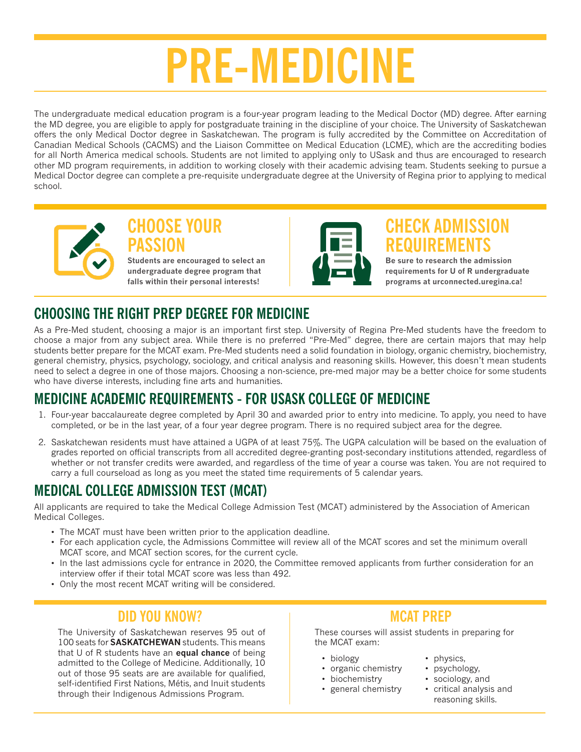# **PRE-MEDICINE**

The undergraduate medical education program is a four-year program leading to the Medical Doctor (MD) degree. After earning the MD degree, you are eligible to apply for postgraduate training in the discipline of your choice. The University of Saskatchewan offers the only Medical Doctor degree in Saskatchewan. The program is fully accredited by the Committee on Accreditation of Canadian Medical Schools (CACMS) and the Liaison Committee on Medical Education (LCME), which are the accrediting bodies for all North America medical schools. Students are not limited to applying only to USask and thus are encouraged to research other MD program requirements, in addition to working closely with their academic advising team. Students seeking to pursue a Medical Doctor degree can complete a pre-requisite undergraduate degree at the University of Regina prior to applying to medical school.



#### **CHOOSE YOUR PASSION Students are encouraged to select an**

**undergraduate degree program that falls within their personal interests!**



# **CHECK ADMISSION REQUIREMENTS**

**Be sure to research the admission requirements for U of R undergraduate programs at urconnected.uregina.ca!**

# **CHOOSING THE RIGHT PREP DEGREE FOR MEDICINE**

As a Pre-Med student, choosing a major is an important first step. University of Regina Pre-Med students have the freedom to choose a major from any subject area. While there is no preferred "Pre-Med" degree, there are certain majors that may help students better prepare for the MCAT exam. Pre-Med students need a solid foundation in biology, organic chemistry, biochemistry, general chemistry, physics, psychology, sociology, and critical analysis and reasoning skills. However, this doesn't mean students need to select a degree in one of those majors. Choosing a non-science, pre-med major may be a better choice for some students who have diverse interests, including fine arts and humanities.

## **MEDICINE ACADEMIC REQUIREMENTS - FOR USASK COLLEGE OF MEDICINE**

- 1. Four-year baccalaureate degree completed by April 30 and awarded prior to entry into medicine. To apply, you need to have completed, or be in the last year, of a four year degree program. There is no required subject area for the degree.
- 2. Saskatchewan residents must have attained a UGPA of at least 75%. The UGPA calculation will be based on the evaluation of grades reported on official transcripts from all accredited degree-granting post-secondary institutions attended, regardless of whether or not transfer credits were awarded, and regardless of the time of year a course was taken. You are not required to carry a full courseload as long as you meet the stated time requirements of 5 calendar years.

## **MEDICAL COLLEGE ADMISSION TEST (MCAT)**

All applicants are required to take the Medical College Admission Test (MCAT) administered by the Association of American Medical Colleges.

- The MCAT must have been written prior to the application deadline.
- For each application cycle, the Admissions Committee will review all of the MCAT scores and set the minimum overall MCAT score, and MCAT section scores, for the current cycle.
- In the last admissions cycle for entrance in 2020, the Committee removed applicants from further consideration for an interview offer if their total MCAT score was less than 492.
- Only the most recent MCAT writing will be considered.

## **DID YOU KNOW?**

The University of Saskatchewan reserves 95 out of 100 seats for **SASKATCHEWAN** students. This means that U of R students have an **equal chance** of being admitted to the College of Medicine. Additionally, 10 out of those 95 seats are are available for qualified, self-identified First Nations, Métis, and Inuit students through their Indigenous Admissions Program.

#### **MCAT PREP**

These courses will assist students in preparing for the MCAT exam:

- biology
- organic chemistry
- biochemistry
- general chemistry
- physics,
- psychology,
- sociology, and
- critical analysis and reasoning skills.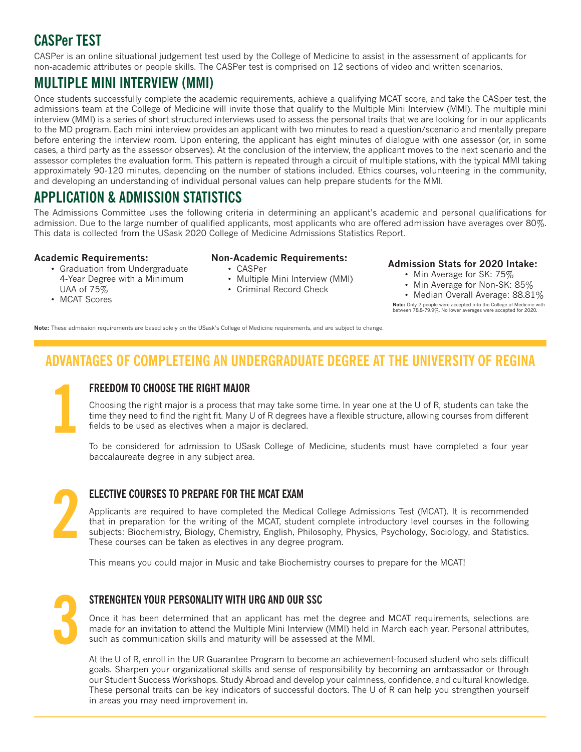#### **CASPer TEST**

CASPer is an online situational judgement test used by the College of Medicine to assist in the assessment of applicants for non-academic attributes or people skills. The CASPer test is comprised on 12 sections of video and written scenarios.

#### **MULTIPLE MINI INTERVIEW (MMI)**

Once students successfully complete the academic requirements, achieve a qualifying MCAT score, and take the CASper test, the admissions team at the College of Medicine will invite those that qualify to the Multiple Mini Interview (MMI). The multiple mini interview (MMI) is a series of short structured interviews used to assess the personal traits that we are looking for in our applicants to the MD program. Each mini interview provides an applicant with two minutes to read a question/scenario and mentally prepare before entering the interview room. Upon entering, the applicant has eight minutes of dialogue with one assessor (or, in some cases, a third party as the assessor observes). At the conclusion of the interview, the applicant moves to the next scenario and the assessor completes the evaluation form. This pattern is repeated through a circuit of multiple stations, with the typical MMI taking approximately 90-120 minutes, depending on the number of stations included. Ethics courses, volunteering in the community, and developing an understanding of individual personal values can help prepare students for the MMI.

#### **APPLICATION & ADMISSION STATISTICS**

The Admissions Committee uses the following criteria in determining an applicant's academic and personal qualifications for admission. Due to the large number of qualified applicants, most applicants who are offered admission have averages over 80%. This data is collected from the USask 2020 College of Medicine Admissions Statistics Report.

#### **Academic Requirements:**

- Graduation from Undergraduate 4-Year Degree with a Minimum UAA of 75%
- MCAT Scores
- **Non-Academic Requirements:**
	- CASPer
	- Multiple Mini Interview (MMI)
	- Criminal Record Check

#### **Admission Stats for 2020 Intake:**

- Min Average for SK: 75%
- Min Average for Non-SK: 85%

• Median Overall Average: 88.81% **Note:** Only 2 people were accepted into the College of Medicine with between 78.8-79.9%. No lower averages were accepted for 2020.

**Note:** These admission requirements are based solely on the USask's College of Medicine requirements, and are subject to change.

#### **ADVANTAGES OF COMPLETEING AN UNDERGRADUATE DEGREE AT THE UNIVERSITY OF REGINA**

# **1**

#### **FREEDOM TO CHOOSE THE RIGHT MAJOR**

Choosing the right major is a process that may take some time. In year one at the U of R, students can take the time they need to find the right fit. Many U of R degrees have a flexible structure, allowing courses from different fields to be used as electives when a major is declared.

To be considered for admission to USask College of Medicine, students must have completed a four year baccalaureate degree in any subject area.



#### **ELECTIVE COURSES TO PREPARE FOR THE MCAT EXAM**

Applicants are required to have completed the Medical College Admissions Test (MCAT). It is recommended that in preparation for the writing of the MCAT, student complete introductory level courses in the following subjects: Biochemistry, Biology, Chemistry, English, Philosophy, Physics, Psychology, Sociology, and Statistics. These courses can be taken as electives in any degree program.

This means you could major in Music and take Biochemistry courses to prepare for the MCAT!



#### **STRENGHTEN YOUR PERSONALITY WITH URG AND OUR SSC**

Once it has been determined that an applicant has met the degree and MCAT requirements, selections are made for an invitation to attend the Multiple Mini Interview (MMI) held in March each year. Personal attributes, such as communication skills and maturity will be assessed at the MMI.

At the U of R, enroll in the UR Guarantee Program to become an achievement-focused student who sets difficult goals. Sharpen your organizational skills and sense of responsibility by becoming an ambassador or through our Student Success Workshops. Study Abroad and develop your calmness, confidence, and cultural knowledge. These personal traits can be key indicators of successful doctors. The U of R can help you strengthen yourself in areas you may need improvement in.